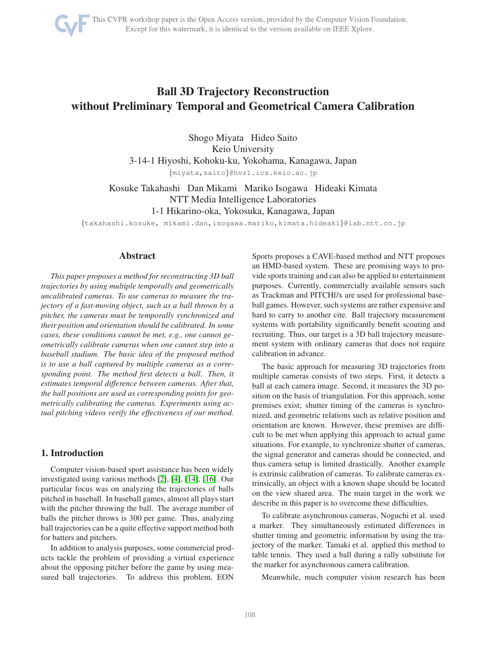

# Ball 3D Trajectory Reconstruction without Preliminary Temporal and Geometrical Camera Calibration

Shogo Miyata Hideo Saito Keio University 3-14-1 Hiyoshi, Kohoku-ku, Yokohama, Kanagawa, Japan

{miyata,saito}@hvrl.ics.keio.ac.jp

Kosuke Takahashi Dan Mikami Mariko Isogawa Hideaki Kimata NTT Media Intelligence Laboratories 1-1 Hikarino-oka, Yokosuka, Kanagawa, Japan

{takahashi.kosuke, mikami.dan,isogawa.mariko,kimata.hideaki}@lab.ntt.co.jp

## Abstract

*This paper proposes a method for reconstructing 3D ball trajectories by using multiple temporally and geometrically uncalibrated cameras. To use cameras to measure the trajectory of a fast-moving object, such as a ball thrown by a pitcher, the cameras must be temporally synchronized and their position and orientation should be calibrated. In some cases, these conditions cannot be met, e.g., one cannot geometrically calibrate cameras when one cannot step into a baseball stadium. The basic idea of the proposed method is to use a ball captured by multiple cameras as a corresponding point. The method first detects a ball. Then, it estimates temporal difference between cameras. After that, the ball positions are used as corresponding points for geometrically calibrating the cameras. Experiments using actual pitching videos verify the effectiveness of our method.*

## 1. Introduction

Computer vision-based sport assistance has been widely investigated using various methods [\[2\]](#page-4-0), [\[4\]](#page-4-1), [\[14\]](#page-5-0), [\[16\]](#page-5-1). Our particular focus was on analyzing the trajectories of balls pitched in baseball. In baseball games, almost all plays start with the pitcher throwing the ball. The average number of balls the pitcher throws is 300 per game. Thus, analyzing ball trajectories can be a quite effective support method both for batters and pitchers.

In addition to analysis purposes, some commercial products tackle the problem of providing a virtual experience about the opposing pitcher before the game by using measured ball trajectories. To address this problem, EON Sports proposes a CAVE-based method and NTT proposes an HMD-based system. These are promising ways to provide sports training and can also be applied to entertainment purposes. Currently, commercially available sensors such as Trackman and PITCHf/x are used for professional baseball games. However, such systems are rather expensive and hard to carry to another cite. Ball trajectory measurement systems with portability significantly benefit scouting and recruiting. Thus, our target is a 3D ball trajectory measurement system with ordinary cameras that does not require calibration in advance.

The basic approach for measuring 3D trajectories from multiple cameras consists of two steps. First, it detects a ball at each camera image. Second, it measures the 3D position on the basis of triangulation. For this approach, some premises exist; shutter timing of the cameras is synchronized, and geometric relations such as relative position and orientation are known. However, these premises are difficult to be met when applying this approach to actual game situations. For example, to synchronize shutter of cameras, the signal generator and cameras should be connected, and thus camera setup is limited drastically. Another example is extrinsic calibration of cameras. To calibrate cameras extrinsically, an object with a known shape should be located on the view shared area. The main target in the work we describe in this paper is to overcome these difficulties.

To calibrate asynchronous cameras, Noguchi et al. used a marker. They simultaneously estimated differences in shutter timing and geometric information by using the trajectory of the marker. Tamaki et al. applied this method to table tennis. They used a ball during a rally substitute for the marker for asynchronous camera calibration.

Meanwhile, much computer vision research has been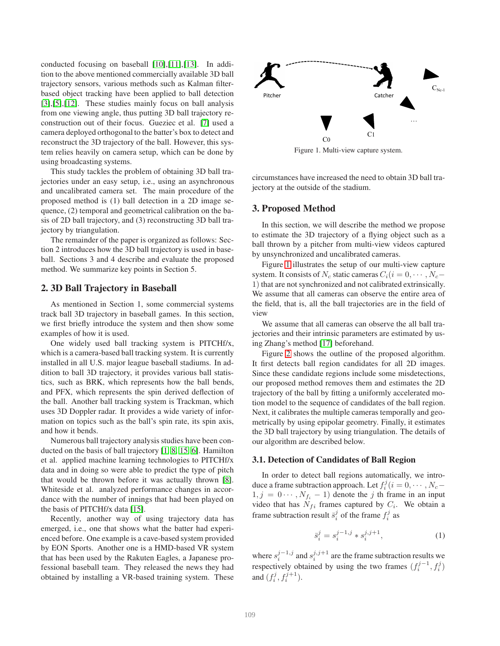conducted focusing on baseball [\[10\]](#page-5-2),[\[11\]](#page-5-3),[\[13\]](#page-5-4). In addition to the above mentioned commercially available 3D ball trajectory sensors, various methods such as Kalman filterbased object tracking have been applied to ball detection [\[3\]](#page-4-2),[\[5\]](#page-4-3),[\[12\]](#page-5-5). These studies mainly focus on ball analysis from one viewing angle, thus putting 3D ball trajectory reconstruction out of their focus. Gueziec et al. [\[7\]](#page-5-6) used a camera deployed orthogonal to the batter's box to detect and reconstruct the 3D trajectory of the ball. However, this system relies heavily on camera setup, which can be done by using broadcasting systems.

This study tackles the problem of obtaining 3D ball trajectories under an easy setup, i.e., using an asynchronous and uncalibrated camera set. The main procedure of the proposed method is (1) ball detection in a 2D image sequence, (2) temporal and geometrical calibration on the basis of 2D ball trajectory, and (3) reconstructing 3D ball trajectory by triangulation.

The remainder of the paper is organized as follows: Section 2 introduces how the 3D ball trajectory is used in baseball. Sections 3 and 4 describe and evaluate the proposed method. We summarize key points in Section 5.

#### 2. 3D Ball Trajectory in Baseball

As mentioned in Section 1, some commercial systems track ball 3D trajectory in baseball games. In this section, we first briefly introduce the system and then show some examples of how it is used.

One widely used ball tracking system is PITCHf/x, which is a camera-based ball tracking system. It is currently installed in all U.S. major league baseball stadiums. In addition to ball 3D trajectory, it provides various ball statistics, such as BRK, which represents how the ball bends, and PFX, which represents the spin derived deflection of the ball. Another ball tracking system is Trackman, which uses 3D Doppler radar. It provides a wide variety of information on topics such as the ball's spin rate, its spin axis, and how it bends.

Numerous ball trajectory analysis studies have been conducted on the basis of ball trajectory [\[1,](#page-4-4) [8,](#page-5-7) [15,](#page-5-8) [6\]](#page-5-9). Hamilton et al. applied machine learning technologies to PITCHf/x data and in doing so were able to predict the type of pitch that would be thrown before it was actually thrown [\[8\]](#page-5-7). Whiteside et al. analyzed performance changes in accordance with the number of innings that had been played on the basis of PITCHf/x data [\[15\]](#page-5-8).

Recently, another way of using trajectory data has emerged, i.e., one that shows what the batter had experienced before. One example is a cave-based system provided by EON Sports. Another one is a HMD-based VR system that has been used by the Rakuten Eagles, a Japanese professional baseball team. They released the news they had obtained by installing a VR-based training system. These



<span id="page-1-0"></span>Figure 1. Multi-view capture system.

circumstances have increased the need to obtain 3D ball trajectory at the outside of the stadium.

#### 3. Proposed Method

In this section, we will describe the method we propose to estimate the 3D trajectory of a flying object such as a ball thrown by a pitcher from multi-view videos captured by unsynchronized and uncalibrated cameras.

Figure [1](#page-1-0) illustrates the setup of our multi-view capture system. It consists of  $N_c$  static cameras  $C_i(i = 0, \cdots, N_c-$ 1) that are not synchronized and not calibrated extrinsically. We assume that all cameras can observe the entire area of the field, that is, all the ball trajectories are in the field of view

We assume that all cameras can observe the all ball trajectories and their intrinsic parameters are estimated by using Zhang's method [\[17\]](#page-5-10) beforehand.

Figure [2](#page-2-0) shows the outline of the proposed algorithm. It first detects ball region candidates for all 2D images. Since these candidate regions include some misdetections, our proposed method removes them and estimates the 2D trajectory of the ball by fitting a uniformly accelerated motion model to the sequence of candidates of the ball region. Next, it calibrates the multiple cameras temporally and geometrically by using epipolar geometry. Finally, it estimates the 3D ball trajectory by using triangulation. The details of our algorithm are described below.

#### 3.1. Detection of Candidates of Ball Region

In order to detect ball regions automatically, we introduce a frame subtraction approach. Let  $f_i^j$  ( $i = 0, \cdots, N_c 1, j = 0 \cdots, N_{f_i} - 1$  denote the j th frame in an input video that has  $N_{fi}$  frames captured by  $C_i$ . We obtain a frame subtraction result  $\bar{s}_i^j$  of the frame  $f_i^j$  as

$$
\bar{s}_i^j = s_i^{j-1,j} * s_i^{j,j+1},\tag{1}
$$

where  $s_i^{j-1,j}$  and  $s_i^{j,j+1}$  are the frame subtraction results we respectively obtained by using the two frames  $(f_i^{j-1}, f_i^j)$ and  $(f_i^j, f_i^{j+1})$ .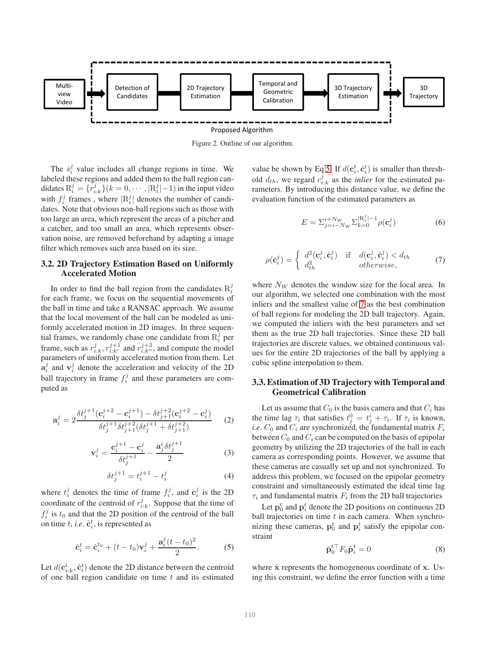

<span id="page-2-0"></span>Figure 2. Outline of our algorithm.

The  $\bar{s}_i^j$  value includes all change regions in time. We labeled these regions and added them to the ball region candidates  $R_i^j = \{\overline{r}_{i:k}^j\}(k=0,\cdots,|\overline{R}_i^j|-1)$  in the input video with  $f_i^j$  frames, where  $|R_i^j|$  denotes the number of candidates. Note that obvious non-ball regions such as those with too large an area, which represent the areas of a pitcher and a catcher, and too small an area, which represents observation noise, are removed beforehand by adapting a image filter which removes such area based on its size.

## 3.2. 2D Trajectory Estimation Based on Uniformly Accelerated Motion

In order to find the ball region from the candidates  $R_i^j$ for each frame, we focus on the sequential movements of the ball in time and take a RANSAC approach. We assume that the local movement of the ball can be modeled as uniformly accelerated motion in 2D images. In three sequential frames, we randomly chase one candidate from  $R_i^{\hat{j}}$  per frame, such as  $r_{i:k}^j$ ,  $r_{i:k'}^{j+1}$  and  $r_{i:k''}^{j+2}$ , and compute the model parameters of uniformly accelerated motion from them. Let  $a_i^j$  and  $v_i^j$  denote the acceleration and velocity of the 2D ball trajectory in frame  $f_i^j$  and these parameters are computed as

$$
\mathbf{a}_{i}^{j} = 2 \frac{\delta t_{j}^{j+1} (\mathbf{c}_{i}^{j+2} - \mathbf{c}_{i}^{j+1}) - \delta t_{j+1}^{j+2} (\mathbf{c}_{i}^{j+2} - \mathbf{c}_{i}^{j})}{\delta t_{j}^{j+1} \delta t_{j+1}^{j+2} (\delta t_{j}^{j+1} + \delta t_{j+1}^{j+2})}
$$
(2)

$$
\mathbf{v}_{i}^{j} = \frac{\mathbf{c}_{i}^{j+1} - \mathbf{c}_{i}^{j}}{\delta t_{j}^{j+1}} - \frac{\mathbf{a}_{j}^{i} \delta t_{j}^{j+1}}{2}
$$
(3)

$$
\delta t_j^{j+1} = t_i^{j+1} - t_i^j \tag{4}
$$

where  $t_i^j$  denotes the time of frame  $f_i^j$ , and  $\mathbf{c}_i^j$  is the 2D coordinate of the centroid of  $r_{i:k}^j$ . Suppose that the time of  $f_i^j$  is  $t_0$  and that the 2D position of the centroid of the ball on time *t*, *i.e.*  $\hat{\mathbf{c}}_i^t$ , is represented as

<span id="page-2-1"></span>
$$
\hat{\mathbf{c}}_i^t = \hat{\mathbf{c}}_i^{t_0} + (t - t_0)\mathbf{v}_i^j + \frac{\mathbf{a}_i^j (t - t_0)^2}{2}.
$$
 (5)

Let  $d(\mathbf{c}_{i:k}^t, \hat{\mathbf{c}}_i^t)$  denote the 2D distance between the centroid of one ball region candidate on time  $t$  and its estimated

value be shown by Eq [5.](#page-2-1) If  $d(\mathbf{c}_i^t, \hat{\mathbf{c}}_i^t)$  is smaller than threshold  $d_{th}$ , we regard  $c_{i:k}^j$  as the *inlier* for the estimated parameters. By introducing this distance value, we define the evaluation function of the estimated parameters as

$$
E = \sum_{j=i-N_W}^{i+N_W} \sum_{k=0}^{\lfloor R_i^j \rfloor - 1} \rho(\mathbf{c}_i^j)
$$
(6)

<span id="page-2-2"></span>
$$
\rho(\mathbf{c}_i^j) = \begin{cases} d^2(\mathbf{c}_i^j, \hat{\mathbf{c}}_i^j) & \text{if } d(\mathbf{c}_i^j, \hat{\mathbf{c}}_i^j) < d_{th} \\ d_{th}^2 & \text{otherwise,} \end{cases}
$$
(7)

where  $N_W$  denotes the window size for the local area. In our algorithm, we selected one combination with the most inliers and the smallest value of [7](#page-2-2) as the best combination of ball regions for modeling the 2D ball trajectory. Again, we computed the inliers with the best parameters and set them as the true 2D ball trajectories. Since these 2D ball trajectories are discrete values, we obtained continuous values for the entire 2D trajectories of the ball by applying a cubic spline interpolation to them.

## 3.3. Estimation of 3D Trajectory with Temporal and Geometrical Calibration

Let us assume that  $C_0$  is the basis camera and that  $C_i$  has the time lag  $\tau_i$  that satisfies  $t_j^0 = t_j^i + \tau_i$ . If  $\tau_i$  is known, *i.e.*  $C_0$  and  $C_i$  are synchronized, the fundamental matrix  $F_i$ between  $C_0$  and  $C_i$  can be computed on the basis of epipolar geometry by utilizing the 2D trajectories of the ball in each camera as corresponding points. However, we assume that these cameras are casually set up and not synchronized. To address this problem, we focused on the epipolar geometry constraint and simultaneously estimated the ideal time lag  $\tau_i$  and fundamental matrix  $F_i$  from the 2D ball trajectories

Let  $\mathbf{p}_0^t$  and  $\mathbf{p}_i^t$  denote the 2D positions on continuous 2D ball trajectories on time  $t$  in each camera. When synchronizing these cameras,  $\mathbf{p}_0^t$  and  $\mathbf{p}_i^t$  satisfy the epipolar constraint

$$
\tilde{\mathbf{p}}_0^{t\top} F_0 \tilde{\mathbf{p}}_i^t = 0 \tag{8}
$$

where  $\tilde{x}$  represents the homogeneous coordinate of x. Using this constraint, we define the error function with a time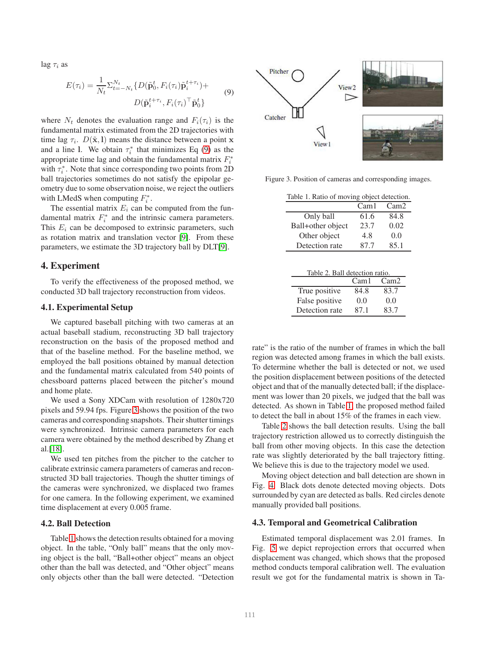<span id="page-3-0"></span> $\log \tau_i$  as

$$
E(\tau_i) = \frac{1}{N_t} \sum_{t=-N_t}^{N_t} \{ D(\tilde{\mathbf{p}}_0^t, F_i(\tau_i) \tilde{\mathbf{p}}_i^{t+\tau_i}) + D(\tilde{\mathbf{p}}_i^{t+\tau_i}, F_i(\tau_i)^\top \tilde{\mathbf{p}}_0^t \}
$$
(9)

where  $N_t$  denotes the evaluation range and  $F_i(\tau_i)$  is the fundamental matrix estimated from the 2D trajectories with time lag  $\tau_i$ .  $D(\tilde{\mathbf{x}}, \mathbf{l})$  means the distance between a point x and a line 1. We obtain  $\tau_i^*$  that minimizes Eq [\(9\)](#page-3-0) as the appropriate time lag and obtain the fundamental matrix  $F_i^*$ with  $\tau_i^*$ . Note that since corresponding two points from 2D ball trajectories sometimes do not satisfy the epipolar geometry due to some observation noise, we reject the outliers with LMedS when computing  $F_i^*$ .

The essential matrix  $E_i$  can be computed from the fundamental matrix  $F_i^*$  and the intrinsic camera parameters. This  $E_i$  can be decomposed to extrinsic parameters, such as rotation matrix and translation vector [\[9\]](#page-5-11). From these parameters, we estimate the 3D trajectory ball by DLT[\[9\]](#page-5-11).

## 4. Experiment

To verify the effectiveness of the proposed method, we conducted 3D ball trajectory reconstruction from videos.

#### 4.1. Experimental Setup

We captured baseball pitching with two cameras at an actual baseball stadium, reconstructing 3D ball trajectory reconstruction on the basis of the proposed method and that of the baseline method. For the baseline method, we employed the ball positions obtained by manual detection and the fundamental matrix calculated from 540 points of chessboard patterns placed between the pitcher's mound and home plate.

We used a Sony XDCam with resolution of 1280x720 pixels and 59.94 fps. Figure [3](#page-3-1) shows the position of the two cameras and corresponding snapshots. Their shutter timings were synchronized. Intrinsic camera parameters for each camera were obtained by the method described by Zhang et al.[\[18\]](#page-5-12).

We used ten pitches from the pitcher to the catcher to calibrate extrinsic camera parameters of cameras and reconstructed 3D ball trajectories. Though the shutter timings of the cameras were synchronized, we displaced two frames for one camera. In the following experiment, we examined time displacement at every 0.005 frame.

#### 4.2. Ball Detection

Table [1](#page-3-2) shows the detection results obtained for a moving object. In the table, "Only ball" means that the only moving object is the ball, "Ball+other object" means an object other than the ball was detected, and "Other object" means only objects other than the ball were detected. "Detection



Figure 3. Position of cameras and corresponding images.

<span id="page-3-1"></span>

| Table 1. Ratio of moving object detection. |  |                                                                   |
|--------------------------------------------|--|-------------------------------------------------------------------|
|                                            |  | $\begin{array}{ccc} \sim & \rightarrow & \sim & \sim \end{array}$ |

<span id="page-3-2"></span>

|                   | Cam1 | Cam2 |
|-------------------|------|------|
| Only ball         | 61.6 | 84.8 |
| Ball+other object | 23.7 | 0.02 |
| Other object      | 4.8  | 0.0  |
| Detection rate    | 87.7 | 85.1 |

<span id="page-3-3"></span>

| Table 2. Ball detection ratio. |      |                  |  |  |
|--------------------------------|------|------------------|--|--|
|                                | Cam1 | Cam <sub>2</sub> |  |  |
| True positive                  | 84.8 | 83.7             |  |  |
| False positive                 | 0.0  | 0.0              |  |  |
| Detection rate                 | 87.1 | 83.7             |  |  |

rate" is the ratio of the number of frames in which the ball region was detected among frames in which the ball exists. To determine whether the ball is detected or not, we used the position displacement between positions of the detected object and that of the manually detected ball; if the displacement was lower than 20 pixels, we judged that the ball was detected. As shown in Table [1,](#page-3-2) the proposed method failed to detect the ball in about 15% of the frames in each view.

Table [2](#page-3-3) shows the ball detection results. Using the ball trajectory restriction allowed us to correctly distinguish the ball from other moving objects. In this case the detection rate was slightly deteriorated by the ball trajectory fitting. We believe this is due to the trajectory model we used.

Moving object detection and ball detection are shown in Fig. [4.](#page-4-5) Black dots denote detected moving objects. Dots surrounded by cyan are detected as balls. Red circles denote manually provided ball positions.

#### 4.3. Temporal and Geometrical Calibration

Estimated temporal displacement was 2.01 frames. In Fig. [5](#page-4-6) we depict reprojection errors that occurred when displacement was changed, which shows that the proposed method conducts temporal calibration well. The evaluation result we got for the fundamental matrix is shown in Ta-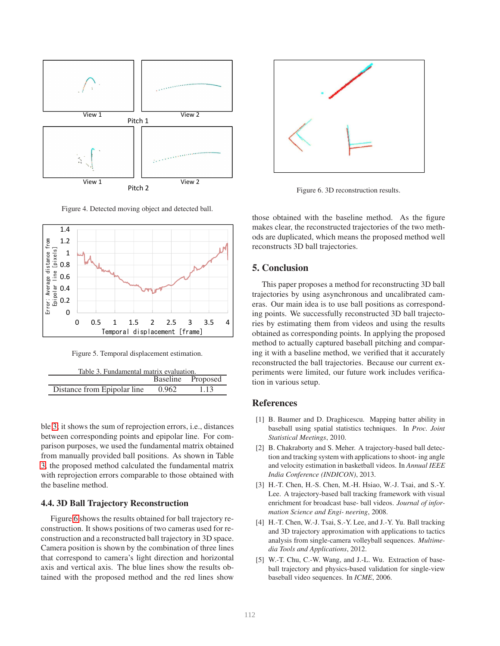

<span id="page-4-5"></span>Figure 4. Detected moving object and detected ball.



<span id="page-4-7"></span><span id="page-4-6"></span>Figure 5. Temporal displacement estimation.

| Table 3. Fundamental matrix evaluation. |       |                   |  |  |
|-----------------------------------------|-------|-------------------|--|--|
|                                         |       | Baseline Proposed |  |  |
| Distance from Epipolar line             | 0.962 | 1.13              |  |  |

ble [3;](#page-4-7) it shows the sum of reprojection errors, i.e., distances between corresponding points and epipolar line. For comparison purposes, we used the fundamental matrix obtained from manually provided ball positions. As shown in Table [3,](#page-4-7) the proposed method calculated the fundamental matrix with reprojection errors comparable to those obtained with the baseline method.

#### 4.4. 3D Ball Trajectory Reconstruction

Figure [6](#page-4-8) shows the results obtained for ball trajectory reconstruction. It shows positions of two cameras used for reconstruction and a reconstructed ball trajectory in 3D space. Camera position is shown by the combination of three lines that correspond to camera's light direction and horizontal axis and vertical axis. The blue lines show the results obtained with the proposed method and the red lines show



<span id="page-4-8"></span>Figure 6. 3D reconstruction results.

those obtained with the baseline method. As the figure makes clear, the reconstructed trajectories of the two methods are duplicated, which means the proposed method well reconstructs 3D ball trajectories.

## 5. Conclusion

This paper proposes a method for reconstructing 3D ball trajectories by using asynchronous and uncalibrated cameras. Our main idea is to use ball positions as corresponding points. We successfully reconstructed 3D ball trajectories by estimating them from videos and using the results obtained as corresponding points. In applying the proposed method to actually captured baseball pitching and comparing it with a baseline method, we verified that it accurately reconstructed the ball trajectories. Because our current experiments were limited, our future work includes verification in various setup.

# <span id="page-4-4"></span>References

- [1] B. Baumer and D. Draghicescu. Mapping batter ability in baseball using spatial statistics techniques. In *Proc. Joint Statistical Meetings*, 2010.
- <span id="page-4-0"></span>[2] B. Chakraborty and S. Meher. A trajectory-based ball detection and tracking system with applications to shoot- ing angle and velocity estimation in basketball videos. In *Annual IEEE India Conference (INDICON)*, 2013.
- <span id="page-4-2"></span>[3] H.-T. Chen, H.-S. Chen, M.-H. Hsiao, W.-J. Tsai, and S.-Y. Lee. A trajectory-based ball tracking framework with visual enrichment for broadcast base- ball videos. *Journal of information Science and Engi- neering*, 2008.
- <span id="page-4-1"></span>[4] H.-T. Chen, W.-J. Tsai, S.-Y. Lee, and J.-Y. Yu. Ball tracking and 3D trajectory approximation with applications to tactics analysis from single-camera volleyball sequences. *Multimedia Tools and Applications*, 2012.
- <span id="page-4-3"></span>[5] W.-T. Chu, C.-W. Wang, and J.-L. Wu. Extraction of baseball trajectory and physics-based validation for single-view baseball video sequences. In *ICME*, 2006.